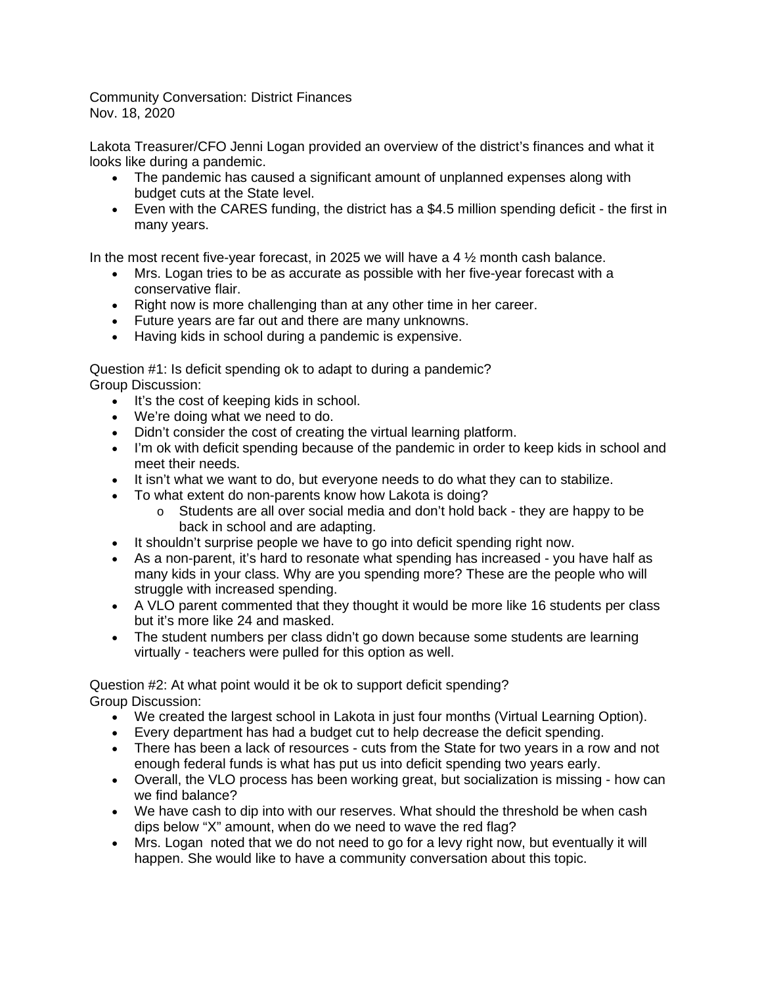Community Conversation: District Finances Nov. 18, 2020

Lakota Treasurer/CFO Jenni Logan provided an overview of the district's finances and what it looks like during a pandemic.

- The pandemic has caused a significant amount of unplanned expenses along with budget cuts at the State level.
- Even with the CARES funding, the district has a \$4.5 million spending deficit the first in many years.

In the most recent five-year forecast, in 2025 we will have a 4  $\frac{1}{2}$  month cash balance.

- Mrs. Logan tries to be as accurate as possible with her five-year forecast with a conservative flair.
- Right now is more challenging than at any other time in her career.
- Future years are far out and there are many unknowns.
- Having kids in school during a pandemic is expensive.

Question #1: Is deficit spending ok to adapt to during a pandemic? Group Discussion:

- It's the cost of keeping kids in school.
- We're doing what we need to do.
- Didn't consider the cost of creating the virtual learning platform.
- I'm ok with deficit spending because of the pandemic in order to keep kids in school and meet their needs.
- It isn't what we want to do, but everyone needs to do what they can to stabilize.
- To what extent do non-parents know how Lakota is doing?
	- $\circ$  Students are all over social media and don't hold back they are happy to be back in school and are adapting.
- It shouldn't surprise people we have to go into deficit spending right now.
- As a non-parent, it's hard to resonate what spending has increased you have half as many kids in your class. Why are you spending more? These are the people who will struggle with increased spending.
- A VLO parent commented that they thought it would be more like 16 students per class but it's more like 24 and masked.
- The student numbers per class didn't go down because some students are learning virtually - teachers were pulled for this option as well.

Question #2: At what point would it be ok to support deficit spending? Group Discussion:

- We created the largest school in Lakota in just four months (Virtual Learning Option).
- Every department has had a budget cut to help decrease the deficit spending.
- There has been a lack of resources cuts from the State for two years in a row and not enough federal funds is what has put us into deficit spending two years early.
- Overall, the VLO process has been working great, but socialization is missing how can we find balance?
- We have cash to dip into with our reserves. What should the threshold be when cash dips below "X" amount, when do we need to wave the red flag?
- Mrs. Logan noted that we do not need to go for a levy right now, but eventually it will happen. She would like to have a community conversation about this topic.